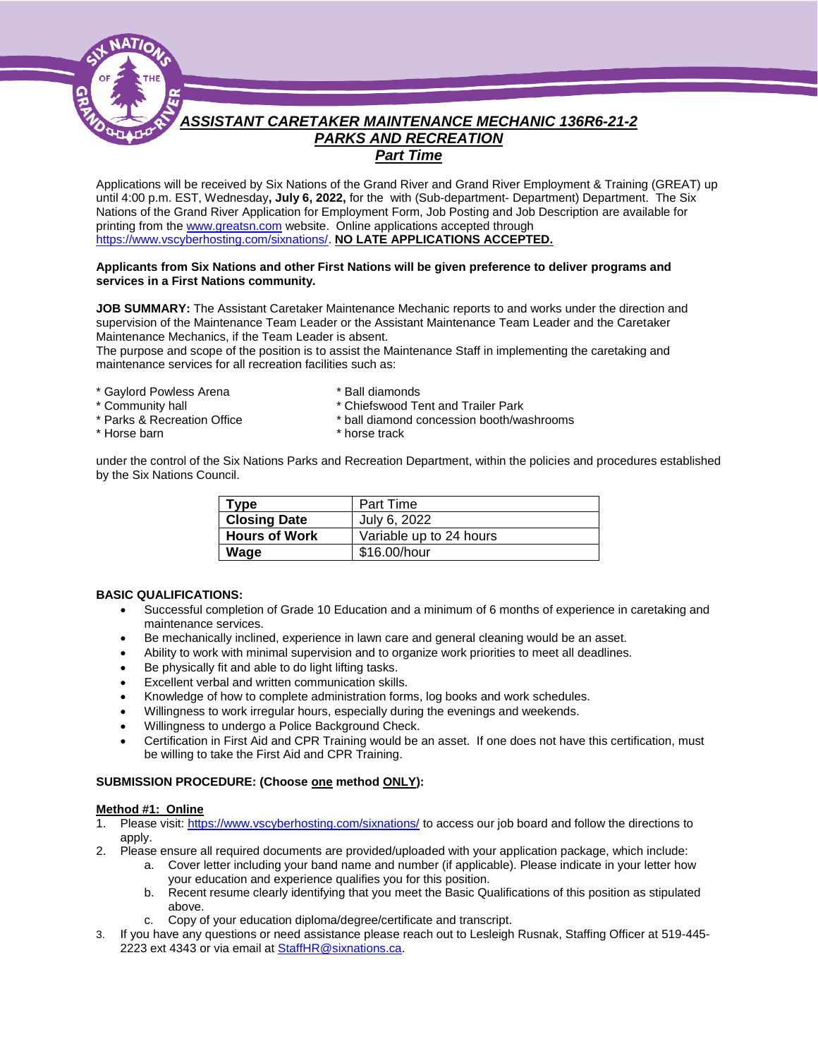

# *ASSISTANT CARETAKER MAINTENANCE MECHANIC 136R6-21-2 PARKS AND RECREATION Part Time*

Applications will be received by Six Nations of the Grand River and Grand River Employment & Training (GREAT) up until 4:00 p.m. EST, Wednesday**, July 6, 2022,** for the with (Sub-department- Department) Department. The Six Nations of the Grand River Application for Employment Form, Job Posting and Job Description are available for printing from th[e www.greatsn.com](http://www.greatsn.com/) website. Online applications accepted through [https://www.vscyberhosting.com/sixnations/.](https://www.vscyberhosting.com/sixnations/) **NO LATE APPLICATIONS ACCEPTED.**

#### **Applicants from Six Nations and other First Nations will be given preference to deliver programs and services in a First Nations community.**

**JOB SUMMARY:** The Assistant Caretaker Maintenance Mechanic reports to and works under the direction and supervision of the Maintenance Team Leader or the Assistant Maintenance Team Leader and the Caretaker Maintenance Mechanics, if the Team Leader is absent.

The purpose and scope of the position is to assist the Maintenance Staff in implementing the caretaking and maintenance services for all recreation facilities such as:

- \* Gaylord Powless Arena \* \* Ball diamonds<br>\* Community hall \* \* Chiefswood Te
- 
- 
- 
- 
- 
- \* Community hall  $\begin{array}{c} \n \ast \text{ Chiefswood Tent and Trailer Park} \\
 \ast \text{ Parks & Recreaction Office} \\
 \end{array}$ 
	- \* ball diamond concession booth/washrooms
- \* Horse barn \* horse track

under the control of the Six Nations Parks and Recreation Department, within the policies and procedures established by the Six Nations Council.

| <b>Type</b>          | Part Time               |
|----------------------|-------------------------|
| <b>Closing Date</b>  | July 6, 2022            |
| <b>Hours of Work</b> | Variable up to 24 hours |
| Wage                 | \$16.00/hour            |

#### **BASIC QUALIFICATIONS:**

- Successful completion of Grade 10 Education and a minimum of 6 months of experience in caretaking and maintenance services.
- Be mechanically inclined, experience in lawn care and general cleaning would be an asset.
- Ability to work with minimal supervision and to organize work priorities to meet all deadlines.
- Be physically fit and able to do light lifting tasks.
- Excellent verbal and written communication skills.
- Knowledge of how to complete administration forms, log books and work schedules.
- Willingness to work irregular hours, especially during the evenings and weekends.
- Willingness to undergo a Police Background Check.
- Certification in First Aid and CPR Training would be an asset. If one does not have this certification, must be willing to take the First Aid and CPR Training.

#### **SUBMISSION PROCEDURE: (Choose one method ONLY):**

#### **Method #1: Online**

- 1. Please visit[: https://www.vscyberhosting.com/sixnations/](https://www.vscyberhosting.com/sixnations/) to access our job board and follow the directions to apply.
- 2. Please ensure all required documents are provided/uploaded with your application package, which include:
	- a. Cover letter including your band name and number (if applicable). Please indicate in your letter how your education and experience qualifies you for this position.
	- b. Recent resume clearly identifying that you meet the Basic Qualifications of this position as stipulated above.
	- c. Copy of your education diploma/degree/certificate and transcript.
- 3. If you have any questions or need assistance please reach out to Lesleigh Rusnak, Staffing Officer at 519-445- 2223 ext 4343 or via email at [StaffHR@sixnations.ca.](mailto:StaffHR@sixnations.ca)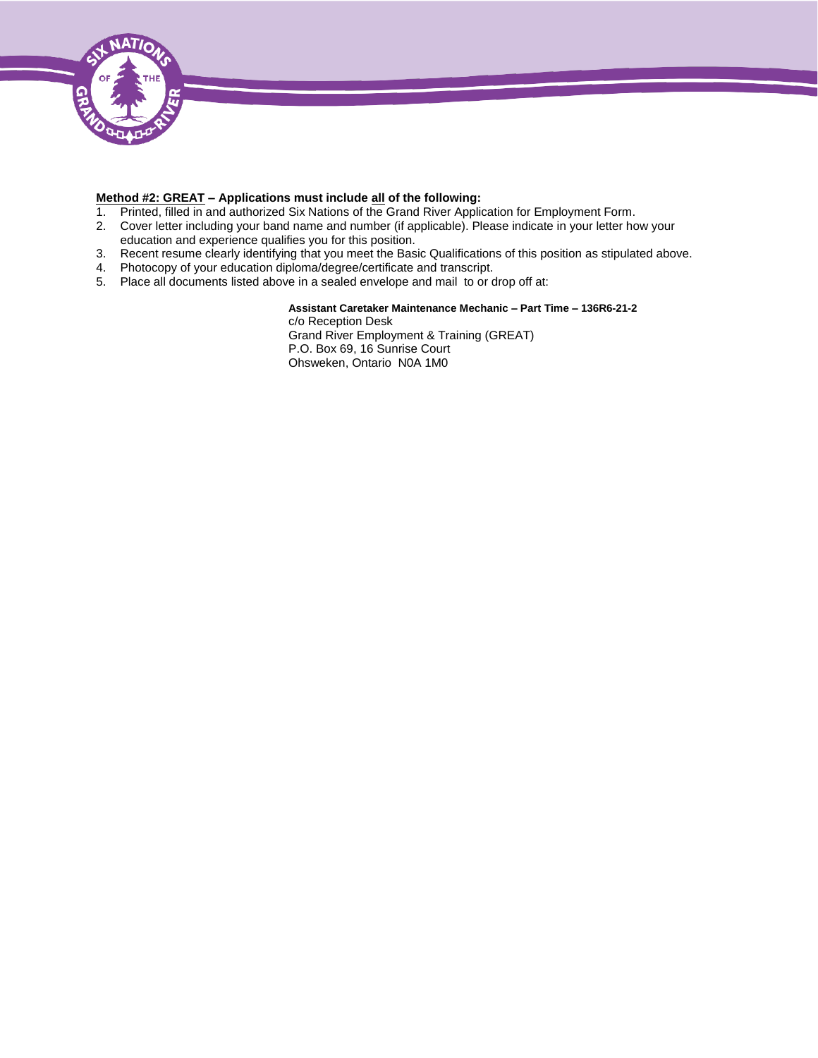

#### **Method #2: GREAT – Applications must include all of the following:**

- 1. Printed, filled in and authorized Six Nations of the Grand River Application for Employment Form.
- 2. Cover letter including your band name and number (if applicable). Please indicate in your letter how your education and experience qualifies you for this position.
- 3. Recent resume clearly identifying that you meet the Basic Qualifications of this position as stipulated above.
- 4. Photocopy of your education diploma/degree/certificate and transcript.
- 5. Place all documents listed above in a sealed envelope and mail to or drop off at:

**Assistant Caretaker Maintenance Mechanic – Part Time – 136R6-21-2** c/o Reception Desk Grand River Employment & Training (GREAT) P.O. Box 69, 16 Sunrise Court Ohsweken, Ontario N0A 1M0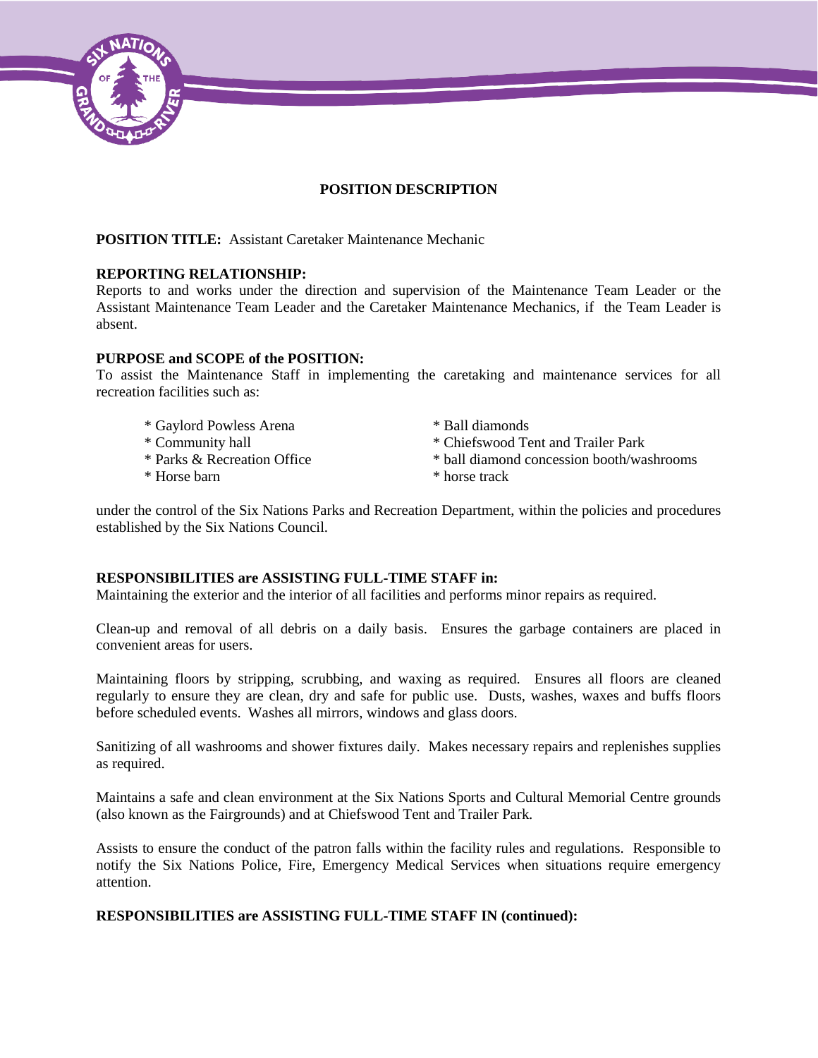

## **POSITION DESCRIPTION**

## **POSITION TITLE:** Assistant Caretaker Maintenance Mechanic

## **REPORTING RELATIONSHIP:**

Reports to and works under the direction and supervision of the Maintenance Team Leader or the Assistant Maintenance Team Leader and the Caretaker Maintenance Mechanics, if the Team Leader is absent.

## **PURPOSE and SCOPE of the POSITION:**

To assist the Maintenance Staff in implementing the caretaking and maintenance services for all recreation facilities such as:

- \* Gaylord Powless Arena \* Ball diamonds
- 
- 
- 
- 
- \* Community hall \* Chiefswood Tent and Trailer Park
- \* Parks & Recreation Office \* ball diamond concession booth/washrooms
- \* Horse barn \* horse track

under the control of the Six Nations Parks and Recreation Department, within the policies and procedures established by the Six Nations Council.

## **RESPONSIBILITIES are ASSISTING FULL-TIME STAFF in:**

Maintaining the exterior and the interior of all facilities and performs minor repairs as required.

Clean-up and removal of all debris on a daily basis. Ensures the garbage containers are placed in convenient areas for users.

Maintaining floors by stripping, scrubbing, and waxing as required. Ensures all floors are cleaned regularly to ensure they are clean, dry and safe for public use. Dusts, washes, waxes and buffs floors before scheduled events. Washes all mirrors, windows and glass doors.

Sanitizing of all washrooms and shower fixtures daily. Makes necessary repairs and replenishes supplies as required.

Maintains a safe and clean environment at the Six Nations Sports and Cultural Memorial Centre grounds (also known as the Fairgrounds) and at Chiefswood Tent and Trailer Park.

Assists to ensure the conduct of the patron falls within the facility rules and regulations. Responsible to notify the Six Nations Police, Fire, Emergency Medical Services when situations require emergency attention.

## **RESPONSIBILITIES are ASSISTING FULL-TIME STAFF IN (continued):**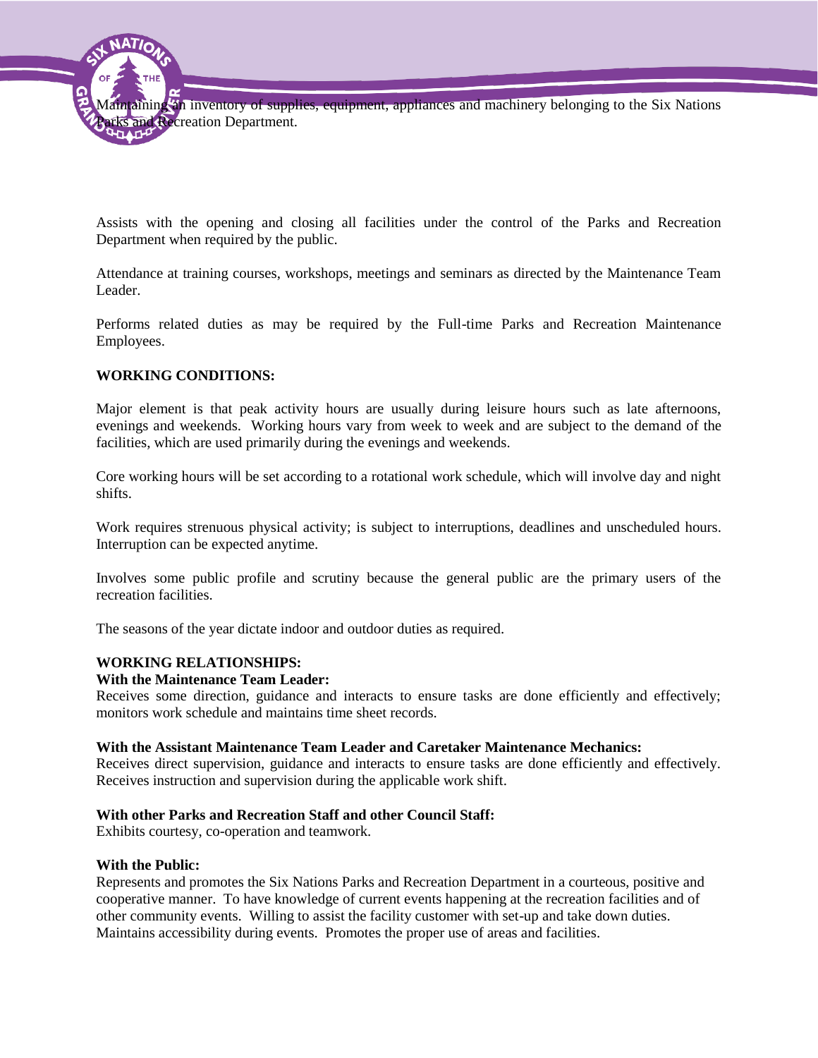

Assists with the opening and closing all facilities under the control of the Parks and Recreation Department when required by the public.

Attendance at training courses, workshops, meetings and seminars as directed by the Maintenance Team Leader.

Performs related duties as may be required by the Full-time Parks and Recreation Maintenance Employees.

## **WORKING CONDITIONS:**

Major element is that peak activity hours are usually during leisure hours such as late afternoons, evenings and weekends. Working hours vary from week to week and are subject to the demand of the facilities, which are used primarily during the evenings and weekends.

Core working hours will be set according to a rotational work schedule, which will involve day and night shifts.

Work requires strenuous physical activity; is subject to interruptions, deadlines and unscheduled hours. Interruption can be expected anytime.

Involves some public profile and scrutiny because the general public are the primary users of the recreation facilities.

The seasons of the year dictate indoor and outdoor duties as required.

# **WORKING RELATIONSHIPS:**

## **With the Maintenance Team Leader:**

Receives some direction, guidance and interacts to ensure tasks are done efficiently and effectively; monitors work schedule and maintains time sheet records.

### **With the Assistant Maintenance Team Leader and Caretaker Maintenance Mechanics:**

Receives direct supervision, guidance and interacts to ensure tasks are done efficiently and effectively. Receives instruction and supervision during the applicable work shift.

## **With other Parks and Recreation Staff and other Council Staff:**

Exhibits courtesy, co-operation and teamwork.

### **With the Public:**

Represents and promotes the Six Nations Parks and Recreation Department in a courteous, positive and cooperative manner. To have knowledge of current events happening at the recreation facilities and of other community events. Willing to assist the facility customer with set-up and take down duties. Maintains accessibility during events. Promotes the proper use of areas and facilities.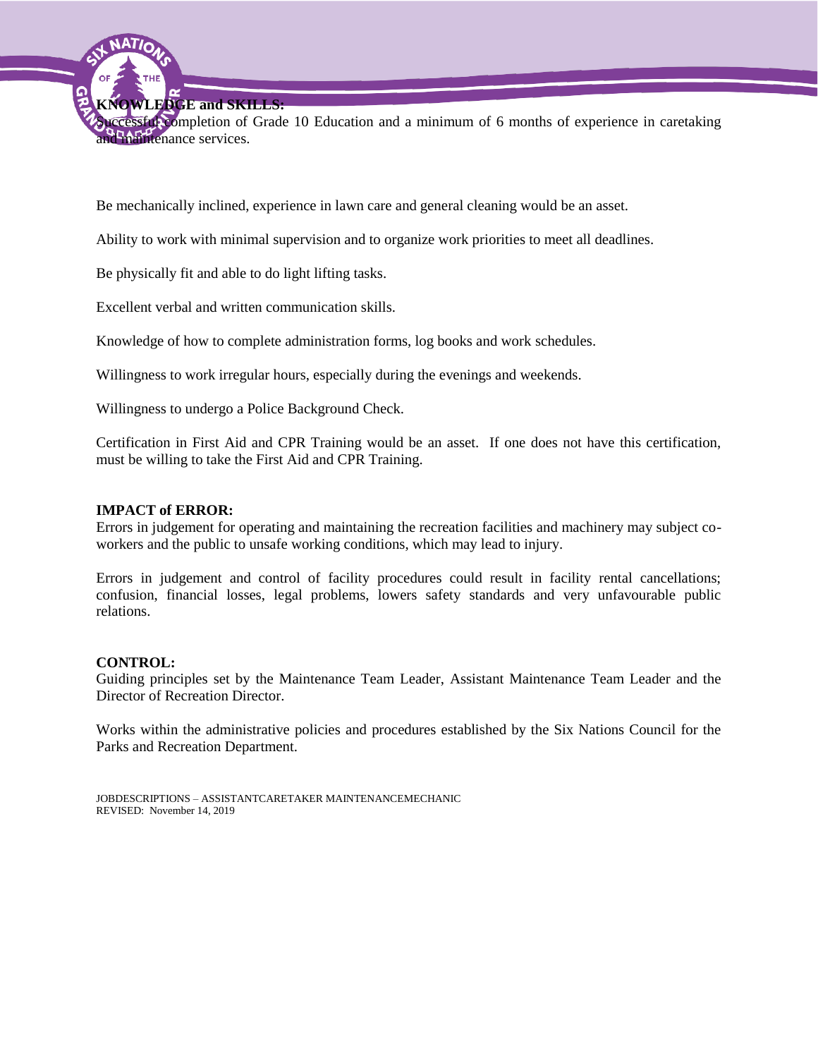**KNOWLEDGE and SKILLS:**

Successful completion of Grade 10 Education and a minimum of 6 months of experience in caretaking and maintenance services.

Be mechanically inclined, experience in lawn care and general cleaning would be an asset.

Ability to work with minimal supervision and to organize work priorities to meet all deadlines.

Be physically fit and able to do light lifting tasks.

Excellent verbal and written communication skills.

Knowledge of how to complete administration forms, log books and work schedules.

Willingness to work irregular hours, especially during the evenings and weekends.

Willingness to undergo a Police Background Check.

Certification in First Aid and CPR Training would be an asset. If one does not have this certification, must be willing to take the First Aid and CPR Training.

### **IMPACT of ERROR:**

Errors in judgement for operating and maintaining the recreation facilities and machinery may subject coworkers and the public to unsafe working conditions, which may lead to injury.

Errors in judgement and control of facility procedures could result in facility rental cancellations; confusion, financial losses, legal problems, lowers safety standards and very unfavourable public relations.

### **CONTROL:**

Guiding principles set by the Maintenance Team Leader, Assistant Maintenance Team Leader and the Director of Recreation Director.

Works within the administrative policies and procedures established by the Six Nations Council for the Parks and Recreation Department.

JOBDESCRIPTIONS – ASSISTANTCARETAKER MAINTENANCEMECHANIC REVISED: November 14, 2019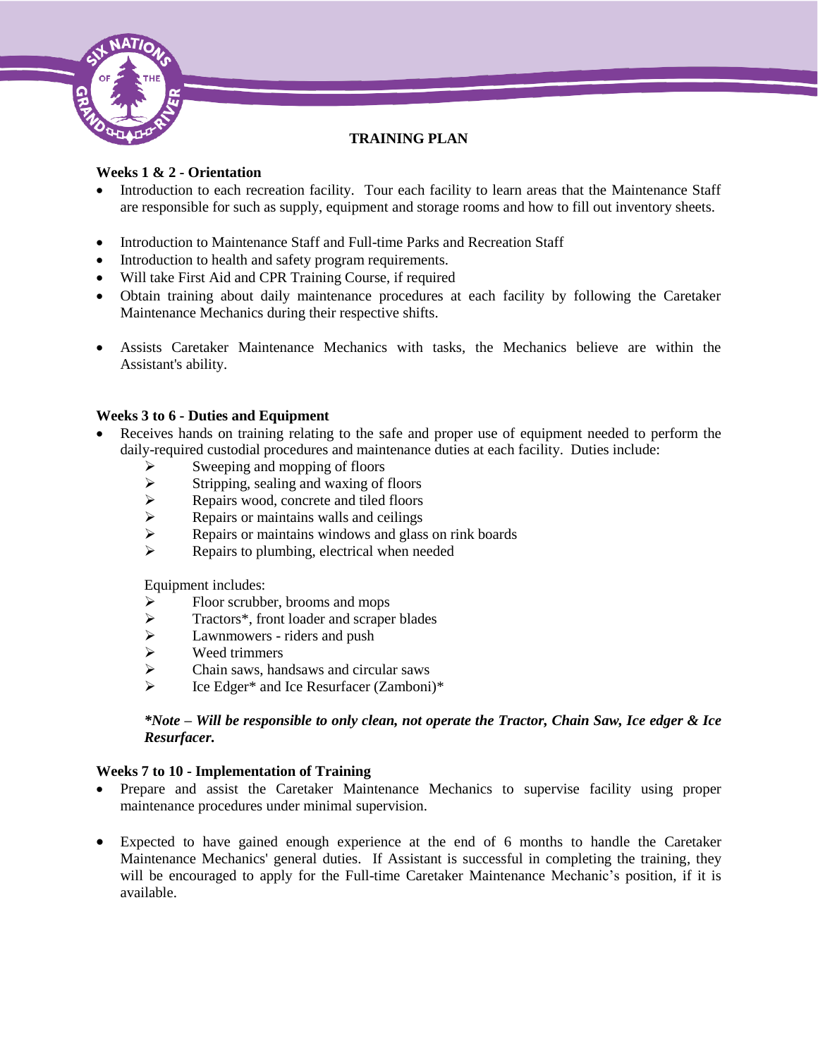

# **TRAINING PLAN**

# **Weeks 1 & 2 - Orientation**

- Introduction to each recreation facility. Tour each facility to learn areas that the Maintenance Staff are responsible for such as supply, equipment and storage rooms and how to fill out inventory sheets.
- Introduction to Maintenance Staff and Full-time Parks and Recreation Staff
- Introduction to health and safety program requirements.
- Will take First Aid and CPR Training Course, if required
- Obtain training about daily maintenance procedures at each facility by following the Caretaker Maintenance Mechanics during their respective shifts.
- Assists Caretaker Maintenance Mechanics with tasks, the Mechanics believe are within the Assistant's ability.

## **Weeks 3 to 6 - Duties and Equipment**

- Receives hands on training relating to the safe and proper use of equipment needed to perform the daily-required custodial procedures and maintenance duties at each facility. Duties include:
	- $\triangleright$  Sweeping and mopping of floors
	-
	- $\triangleright$  Stripping, sealing and waxing of floors<br> $\triangleright$  Repairs wood, concrete and tiled floors  $\triangleright$  Repairs wood, concrete and tiled floors<br> $\triangleright$  Repairs or maintains walls and ceilings
	- Repairs or maintains walls and ceilings<br>Repairs or maintains windows and glass
	- Repairs or maintains windows and glass on rink boards<br>
	Repairs to plumbing electrical when needed
	- Repairs to plumbing, electrical when needed

Equipment includes:

- $\triangleright$  Floor scrubber, brooms and mops
- > Tractors\*, front loader and scraper blades
- $\triangleright$  Lawnmowers riders and push<br> $\triangleright$  Weed trimmers
- $\triangleright$  Weed trimmers<br> $\triangleright$  Chain saws, han
- $\triangleright$  Chain saws, handsaws and circular saws<br>  $\triangleright$  Ice Edger\* and Ice Resurfacer (Zamboni)
- Ice Edger\* and Ice Resurfacer (Zamboni)\*

## *\*Note – Will be responsible to only clean, not operate the Tractor, Chain Saw, Ice edger & Ice Resurfacer.*

## **Weeks 7 to 10 - Implementation of Training**

- Prepare and assist the Caretaker Maintenance Mechanics to supervise facility using proper maintenance procedures under minimal supervision.
- Expected to have gained enough experience at the end of 6 months to handle the Caretaker Maintenance Mechanics' general duties. If Assistant is successful in completing the training, they will be encouraged to apply for the Full-time Caretaker Maintenance Mechanic's position, if it is available.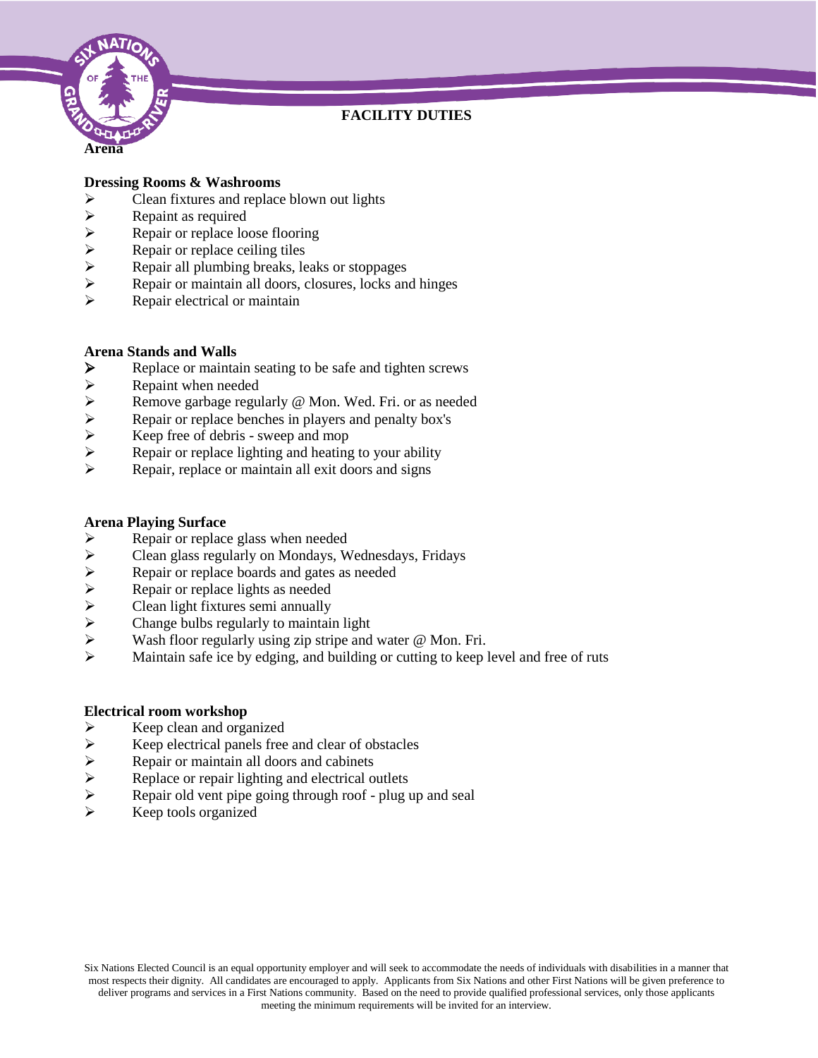

# **FACILITY DUTIES**

## **Dressing Rooms & Washrooms**

- $\triangleright$  Clean fixtures and replace blown out lights
- → Repaint as required<br>
→ Repair or replace loop<br>
→ Repair all plumbing<br>
→ Repair or maintain a
- Repair or replace loose flooring
- Repair or replace ceiling tiles
- Repair all plumbing breaks, leaks or stoppages
- Repair or maintain all doors, closures, locks and hinges
- $\triangleright$  Repair electrical or maintain

## **Arena Stands and Walls**

- Replace or maintain seating to be safe and tighten screws<br>
Repaint when needed
- 
- → Repaint when needed<br>
→ Remove garbage regu<br>
→ Repair or replace bend<br>
→ Keep free of debris s<br>
→ Repair or replace light Remove garbage regularly @ Mon. Wed. Fri. or as needed
- Repair or replace benches in players and penalty box's
- Keep free of debris sweep and mop
- Repair or replace lighting and heating to your ability
- $\triangleright$  Repair, replace or maintain all exit doors and signs

## **Arena Playing Surface**

- $\triangleright$  Repair or replace glass when needed<br> $\triangleright$  Clean glass regularly on Mondays, W
- Clean glass regularly on Mondays, Wednesdays, Fridays
- Repair or replace boards and gates as needed
- Repair or replace lights as needed
- Clean light fixtures semi annually
- Change bulbs regularly to maintain light
- Wash floor regularly using zip stripe and water @ Mon. Fri.
- Maintain safe ice by edging, and building or cutting to keep level and free of ruts

## **Electrical room workshop**

- $\triangleright$  Keep clean and organized<br> $\triangleright$  Keep electrical panels free
- → Keep electrical panels free and clear of obstacles<br>
→ Repair or maintain all doors and cabinets<br>
→ Replace or repair lighting and electrical outlets<br>
→ Repair old vent pipe going through roof plug up
- Repair or maintain all doors and cabinets
- Replace or repair lighting and electrical outlets
- Repair old vent pipe going through roof plug up and seal
- Keep tools organized